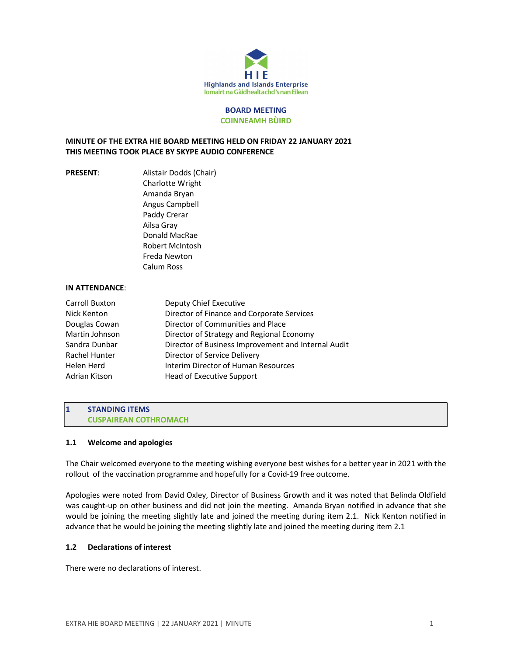

### BOARD MEETING COINNEAMH BÙIRD

### MINUTE OF THE EXTRA HIE BOARD MEETING HELD ON FRIDAY 22 JANUARY 2021 THIS MEETING TOOK PLACE BY SKYPE AUDIO CONFERENCE

PRESENT: Alistair Dodds (Chair) Charlotte Wright Amanda Bryan Angus Campbell Paddy Crerar Ailsa Gray Donald MacRae Robert McIntosh Freda Newton Calum Ross

### IN ATTENDANCE:

| Carroll Buxton | Deputy Chief Executive                              |
|----------------|-----------------------------------------------------|
| Nick Kenton    | Director of Finance and Corporate Services          |
| Douglas Cowan  | Director of Communities and Place                   |
| Martin Johnson | Director of Strategy and Regional Economy           |
| Sandra Dunbar  | Director of Business Improvement and Internal Audit |
| Rachel Hunter  | Director of Service Delivery                        |
| Helen Herd     | Interim Director of Human Resources                 |
| Adrian Kitson  | Head of Executive Support                           |

1 STANDING ITEMS CUSPAIREAN COTHROMACH

#### 1.1 Welcome and apologies

The Chair welcomed everyone to the meeting wishing everyone best wishes for a better year in 2021 with the rollout of the vaccination programme and hopefully for a Covid-19 free outcome.

Apologies were noted from David Oxley, Director of Business Growth and it was noted that Belinda Oldfield was caught-up on other business and did not join the meeting. Amanda Bryan notified in advance that she would be joining the meeting slightly late and joined the meeting during item 2.1. Nick Kenton notified in advance that he would be joining the meeting slightly late and joined the meeting during item 2.1

### 1.2 Declarations of interest

There were no declarations of interest.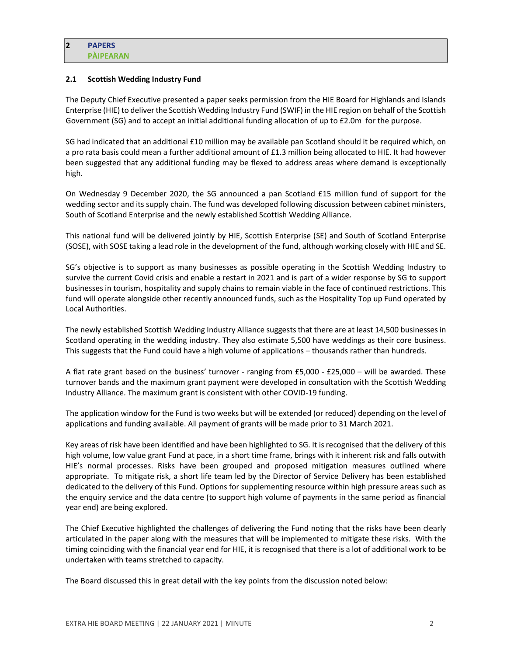## 2.1 Scottish Wedding Industry Fund

The Deputy Chief Executive presented a paper seeks permission from the HIE Board for Highlands and Islands Enterprise (HIE) to deliver the Scottish Wedding Industry Fund (SWIF) in the HIE region on behalf of the Scottish Government (SG) and to accept an initial additional funding allocation of up to £2.0m for the purpose.

SG had indicated that an additional £10 million may be available pan Scotland should it be required which, on a pro rata basis could mean a further additional amount of £1.3 million being allocated to HIE. It had however been suggested that any additional funding may be flexed to address areas where demand is exceptionally high.

On Wednesday 9 December 2020, the SG announced a pan Scotland £15 million fund of support for the wedding sector and its supply chain. The fund was developed following discussion between cabinet ministers, South of Scotland Enterprise and the newly established Scottish Wedding Alliance.

This national fund will be delivered jointly by HIE, Scottish Enterprise (SE) and South of Scotland Enterprise (SOSE), with SOSE taking a lead role in the development of the fund, although working closely with HIE and SE.

SG's objective is to support as many businesses as possible operating in the Scottish Wedding Industry to survive the current Covid crisis and enable a restart in 2021 and is part of a wider response by SG to support businesses in tourism, hospitality and supply chains to remain viable in the face of continued restrictions. This fund will operate alongside other recently announced funds, such as the Hospitality Top up Fund operated by Local Authorities.

The newly established Scottish Wedding Industry Alliance suggests that there are at least 14,500 businesses in Scotland operating in the wedding industry. They also estimate 5,500 have weddings as their core business. This suggests that the Fund could have a high volume of applications – thousands rather than hundreds.

A flat rate grant based on the business' turnover - ranging from £5,000 - £25,000 – will be awarded. These turnover bands and the maximum grant payment were developed in consultation with the Scottish Wedding Industry Alliance. The maximum grant is consistent with other COVID-19 funding.

The application window for the Fund is two weeks but will be extended (or reduced) depending on the level of applications and funding available. All payment of grants will be made prior to 31 March 2021.

Key areas of risk have been identified and have been highlighted to SG. It is recognised that the delivery of this high volume, low value grant Fund at pace, in a short time frame, brings with it inherent risk and falls outwith HIE's normal processes. Risks have been grouped and proposed mitigation measures outlined where appropriate. To mitigate risk, a short life team led by the Director of Service Delivery has been established dedicated to the delivery of this Fund. Options for supplementing resource within high pressure areas such as the enquiry service and the data centre (to support high volume of payments in the same period as financial year end) are being explored.

The Chief Executive highlighted the challenges of delivering the Fund noting that the risks have been clearly articulated in the paper along with the measures that will be implemented to mitigate these risks. With the timing coinciding with the financial year end for HIE, it is recognised that there is a lot of additional work to be undertaken with teams stretched to capacity.

The Board discussed this in great detail with the key points from the discussion noted below: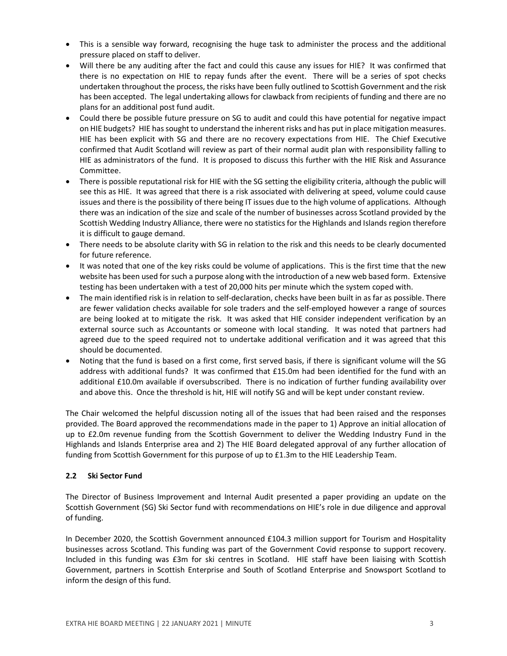- This is a sensible way forward, recognising the huge task to administer the process and the additional pressure placed on staff to deliver.
- Will there be any auditing after the fact and could this cause any issues for HIE? It was confirmed that there is no expectation on HIE to repay funds after the event. There will be a series of spot checks undertaken throughout the process, the risks have been fully outlined to Scottish Government and the risk has been accepted. The legal undertaking allows for clawback from recipients of funding and there are no plans for an additional post fund audit.
- Could there be possible future pressure on SG to audit and could this have potential for negative impact on HIE budgets? HIE has sought to understand the inherent risks and has put in place mitigation measures. HIE has been explicit with SG and there are no recovery expectations from HIE. The Chief Executive confirmed that Audit Scotland will review as part of their normal audit plan with responsibility falling to HIE as administrators of the fund. It is proposed to discuss this further with the HIE Risk and Assurance Committee.
- There is possible reputational risk for HIE with the SG setting the eligibility criteria, although the public will see this as HIE. It was agreed that there is a risk associated with delivering at speed, volume could cause issues and there is the possibility of there being IT issues due to the high volume of applications. Although there was an indication of the size and scale of the number of businesses across Scotland provided by the Scottish Wedding Industry Alliance, there were no statistics for the Highlands and Islands region therefore it is difficult to gauge demand.
- There needs to be absolute clarity with SG in relation to the risk and this needs to be clearly documented for future reference.
- It was noted that one of the key risks could be volume of applications. This is the first time that the new website has been used for such a purpose along with the introduction of a new web based form. Extensive testing has been undertaken with a test of 20,000 hits per minute which the system coped with.
- The main identified risk is in relation to self-declaration, checks have been built in as far as possible. There are fewer validation checks available for sole traders and the self-employed however a range of sources are being looked at to mitigate the risk. It was asked that HIE consider independent verification by an external source such as Accountants or someone with local standing. It was noted that partners had agreed due to the speed required not to undertake additional verification and it was agreed that this should be documented.
- Noting that the fund is based on a first come, first served basis, if there is significant volume will the SG address with additional funds? It was confirmed that £15.0m had been identified for the fund with an additional £10.0m available if oversubscribed. There is no indication of further funding availability over and above this. Once the threshold is hit, HIE will notify SG and will be kept under constant review.

The Chair welcomed the helpful discussion noting all of the issues that had been raised and the responses provided. The Board approved the recommendations made in the paper to 1) Approve an initial allocation of up to £2.0m revenue funding from the Scottish Government to deliver the Wedding Industry Fund in the Highlands and Islands Enterprise area and 2) The HIE Board delegated approval of any further allocation of funding from Scottish Government for this purpose of up to £1.3m to the HIE Leadership Team.

# 2.2 Ski Sector Fund

The Director of Business Improvement and Internal Audit presented a paper providing an update on the Scottish Government (SG) Ski Sector fund with recommendations on HIE's role in due diligence and approval of funding.

In December 2020, the Scottish Government announced £104.3 million support for Tourism and Hospitality businesses across Scotland. This funding was part of the Government Covid response to support recovery. Included in this funding was £3m for ski centres in Scotland. HIE staff have been liaising with Scottish Government, partners in Scottish Enterprise and South of Scotland Enterprise and Snowsport Scotland to inform the design of this fund.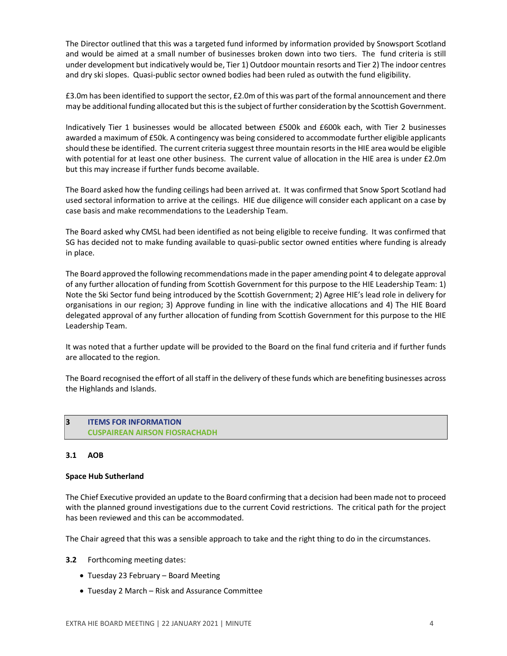The Director outlined that this was a targeted fund informed by information provided by Snowsport Scotland and would be aimed at a small number of businesses broken down into two tiers. The fund criteria is still under development but indicatively would be, Tier 1) Outdoor mountain resorts and Tier 2) The indoor centres and dry ski slopes. Quasi-public sector owned bodies had been ruled as outwith the fund eligibility.

£3.0m has been identified to support the sector, £2.0m of this was part of the formal announcement and there may be additional funding allocated but this is the subject of further consideration by the Scottish Government.

Indicatively Tier 1 businesses would be allocated between £500k and £600k each, with Tier 2 businesses awarded a maximum of £50k. A contingency was being considered to accommodate further eligible applicants should these be identified. The current criteria suggest three mountain resorts in the HIE area would be eligible with potential for at least one other business. The current value of allocation in the HIE area is under £2.0m but this may increase if further funds become available.

The Board asked how the funding ceilings had been arrived at. It was confirmed that Snow Sport Scotland had used sectoral information to arrive at the ceilings. HIE due diligence will consider each applicant on a case by case basis and make recommendations to the Leadership Team.

The Board asked why CMSL had been identified as not being eligible to receive funding. It was confirmed that SG has decided not to make funding available to quasi-public sector owned entities where funding is already in place.

The Board approved the following recommendations made in the paper amending point 4 to delegate approval of any further allocation of funding from Scottish Government for this purpose to the HIE Leadership Team: 1) Note the Ski Sector fund being introduced by the Scottish Government; 2) Agree HIE's lead role in delivery for organisations in our region; 3) Approve funding in line with the indicative allocations and 4) The HIE Board delegated approval of any further allocation of funding from Scottish Government for this purpose to the HIE Leadership Team.

It was noted that a further update will be provided to the Board on the final fund criteria and if further funds are allocated to the region.

The Board recognised the effort of all staff in the delivery of these funds which are benefiting businesses across the Highlands and Islands.

### 3 ITEMS FOR INFORMATION CUSPAIREAN AIRSON FIOSRACHADH

### 3.1 AOB

### Space Hub Sutherland

The Chief Executive provided an update to the Board confirming that a decision had been made not to proceed with the planned ground investigations due to the current Covid restrictions. The critical path for the project has been reviewed and this can be accommodated.

The Chair agreed that this was a sensible approach to take and the right thing to do in the circumstances.

3.2 Forthcoming meeting dates:

- Tuesday 23 February Board Meeting
- Tuesday 2 March Risk and Assurance Committee